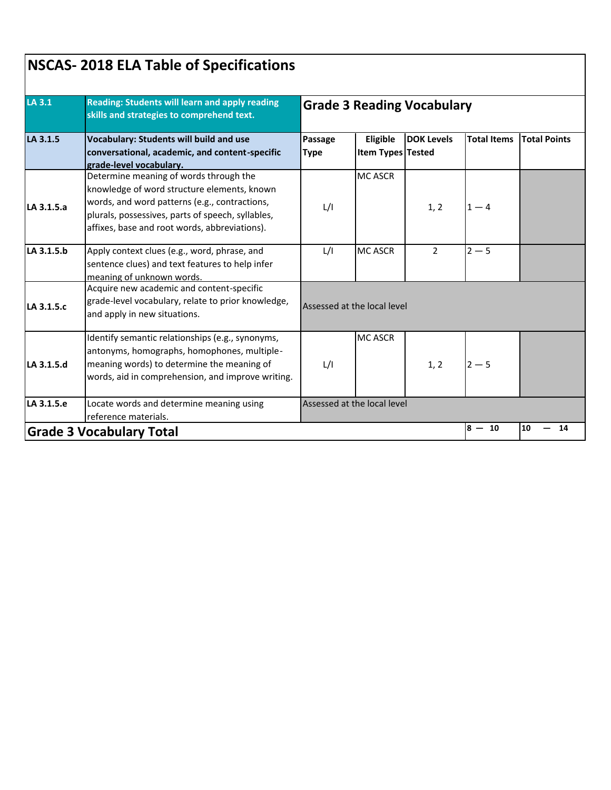| LA 3.1<br>LA 3.1.5 | Reading: Students will learn and apply reading<br>skills and strategies to comprehend text.<br><b>Vocabulary: Students will build and use</b><br>conversational, academic, and content-specific<br>grade-level vocabulary.                   | <b>Grade 3 Reading Vocabulary</b> |                               |                   |                    |                     |  |
|--------------------|----------------------------------------------------------------------------------------------------------------------------------------------------------------------------------------------------------------------------------------------|-----------------------------------|-------------------------------|-------------------|--------------------|---------------------|--|
|                    |                                                                                                                                                                                                                                              | Passage<br><b>Type</b>            | Eligible<br>Item Types Tested | <b>DOK Levels</b> | <b>Total Items</b> | <b>Total Points</b> |  |
| LA 3.1.5.a         | Determine meaning of words through the<br>knowledge of word structure elements, known<br>words, and word patterns (e.g., contractions,<br>plurals, possessives, parts of speech, syllables,<br>affixes, base and root words, abbreviations). | L/I                               | <b>MC ASCR</b>                | 1, 2              | $1 - 4$            |                     |  |
| LA 3.1.5.b         | Apply context clues (e.g., word, phrase, and<br>sentence clues) and text features to help infer<br>meaning of unknown words.                                                                                                                 | L/I                               | <b>MC ASCR</b>                | $\overline{2}$    | $2 - 5$            |                     |  |
| LA 3.1.5.c         | Acquire new academic and content-specific<br>grade-level vocabulary, relate to prior knowledge,<br>and apply in new situations.                                                                                                              | Assessed at the local level       |                               |                   |                    |                     |  |
| LA 3.1.5.d         | Identify semantic relationships (e.g., synonyms,<br>antonyms, homographs, homophones, multiple-<br>meaning words) to determine the meaning of<br>words, aid in comprehension, and improve writing.                                           | L/I                               | <b>MC ASCR</b>                | 1, 2              | $2 - 5$            |                     |  |
| LA 3.1.5.e         | Locate words and determine meaning using<br>reference materials.                                                                                                                                                                             |                                   | Assessed at the local level   |                   |                    |                     |  |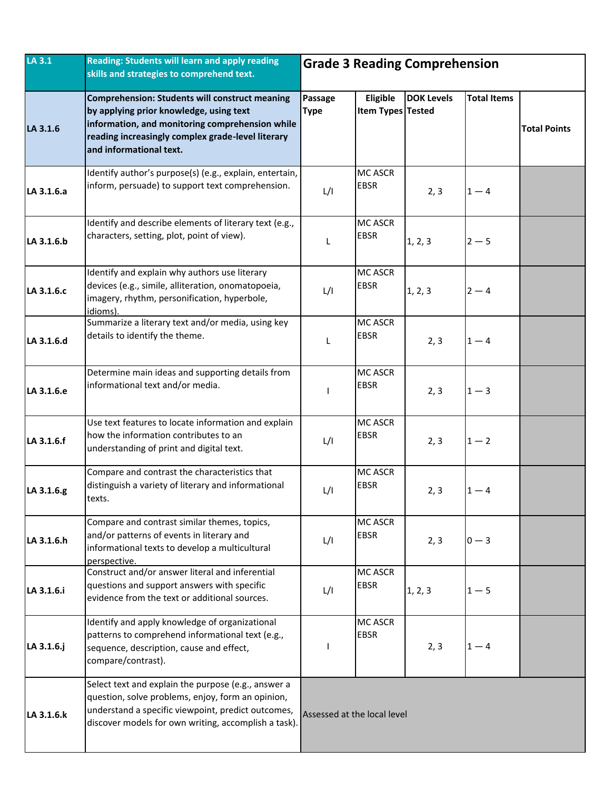| LA 3.1     | <b>Reading: Students will learn and apply reading</b><br>skills and strategies to comprehend text.                                                                                                                                  | <b>Grade 3 Reading Comprehension</b> |                                      |                   |                    |                     |
|------------|-------------------------------------------------------------------------------------------------------------------------------------------------------------------------------------------------------------------------------------|--------------------------------------|--------------------------------------|-------------------|--------------------|---------------------|
| LA 3.1.6   | <b>Comprehension: Students will construct meaning</b><br>by applying prior knowledge, using text<br>information, and monitoring comprehension while<br>reading increasingly complex grade-level literary<br>and informational text. | Passage<br><b>Type</b>               | Eligible<br><b>Item Types Tested</b> | <b>DOK Levels</b> | <b>Total Items</b> | <b>Total Points</b> |
| LA 3.1.6.a | Identify author's purpose(s) (e.g., explain, entertain,<br>inform, persuade) to support text comprehension.                                                                                                                         | L/I                                  | <b>MC ASCR</b><br><b>EBSR</b>        | 2, 3              | $1 - 4$            |                     |
| LA 3.1.6.b | Identify and describe elements of literary text (e.g.,<br>characters, setting, plot, point of view).                                                                                                                                | L                                    | <b>MC ASCR</b><br><b>EBSR</b>        | 1, 2, 3           | $2 - 5$            |                     |
| LA 3.1.6.c | Identify and explain why authors use literary<br>devices (e.g., simile, alliteration, onomatopoeia,<br>imagery, rhythm, personification, hyperbole,<br>idioms).                                                                     | L/I                                  | MC ASCR<br><b>EBSR</b>               | 1, 2, 3           | $2 - 4$            |                     |
| LA 3.1.6.d | Summarize a literary text and/or media, using key<br>details to identify the theme.                                                                                                                                                 | L                                    | MC ASCR<br><b>EBSR</b>               | 2, 3              | $1 - 4$            |                     |
| LA 3.1.6.e | Determine main ideas and supporting details from<br>informational text and/or media.                                                                                                                                                |                                      | <b>MC ASCR</b><br><b>EBSR</b>        | 2, 3              | $1 - 3$            |                     |
| LA 3.1.6.f | Use text features to locate information and explain<br>how the information contributes to an<br>understanding of print and digital text.                                                                                            | L/I                                  | <b>MC ASCR</b><br>EBSR               | 2, 3              | $1 - 2$            |                     |
| LA 3.1.6.g | Compare and contrast the characteristics that<br>distinguish a variety of literary and informational<br>texts.                                                                                                                      | L/I                                  | <b>MC ASCR</b><br><b>EBSR</b>        | 2, 3              | $1 - 4$            |                     |
| LA 3.1.6.h | Compare and contrast similar themes, topics,<br>and/or patterns of events in literary and<br>informational texts to develop a multicultural<br>perspective.                                                                         | L/I                                  | <b>MC ASCR</b><br><b>EBSR</b>        | 2, 3              | $0 - 3$            |                     |
| LA 3.1.6.i | Construct and/or answer literal and inferential<br>questions and support answers with specific<br>evidence from the text or additional sources.                                                                                     | L/I                                  | <b>MC ASCR</b><br><b>EBSR</b>        | 1, 2, 3           | $1-5$              |                     |
| LA 3.1.6.j | Identify and apply knowledge of organizational<br>patterns to comprehend informational text (e.g.,<br>sequence, description, cause and effect,<br>compare/contrast).                                                                |                                      | MC ASCR<br><b>EBSR</b>               | 2, 3              | $1 - 4$            |                     |
| LA 3.1.6.k | Select text and explain the purpose (e.g., answer a<br>question, solve problems, enjoy, form an opinion,<br>understand a specific viewpoint, predict outcomes,<br>discover models for own writing, accomplish a task).              | Assessed at the local level          |                                      |                   |                    |                     |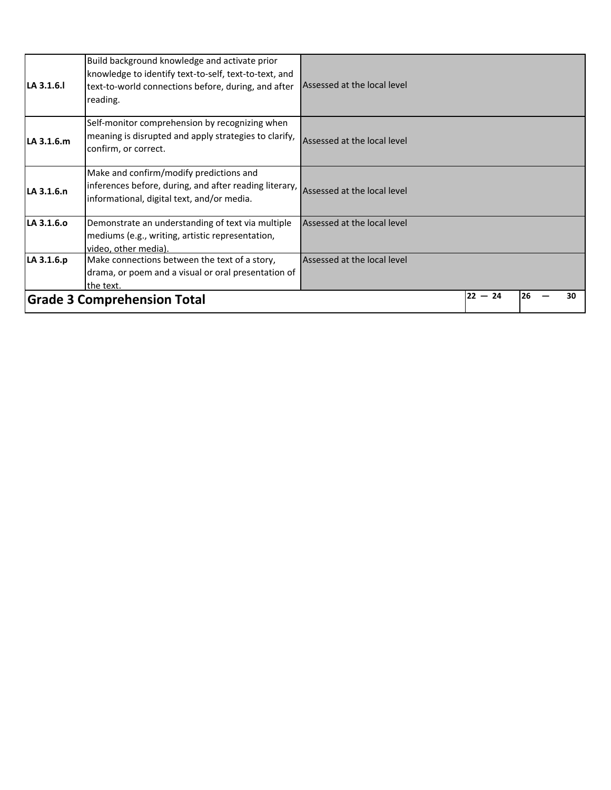| LA 3.1.6.  | Build background knowledge and activate prior<br>knowledge to identify text-to-self, text-to-text, and<br>text-to-world connections before, during, and after<br>reading.   | Assessed at the local level |           |     |    |
|------------|-----------------------------------------------------------------------------------------------------------------------------------------------------------------------------|-----------------------------|-----------|-----|----|
| LA 3.1.6.m | Self-monitor comprehension by recognizing when<br>meaning is disrupted and apply strategies to clarify,<br>confirm, or correct.                                             | Assessed at the local level |           |     |    |
| LA 3.1.6.n | Make and confirm/modify predictions and<br>inferences before, during, and after reading literary, Assessed at the local level<br>informational, digital text, and/or media. |                             |           |     |    |
| LA 3.1.6.0 | Demonstrate an understanding of text via multiple<br>mediums (e.g., writing, artistic representation,<br>video, other media).                                               | Assessed at the local level |           |     |    |
| LA 3.1.6.p | Make connections between the text of a story,<br>drama, or poem and a visual or oral presentation of<br>the text.                                                           | Assessed at the local level |           |     |    |
|            | <b>Grade 3 Comprehension Total</b>                                                                                                                                          |                             | $22 - 24$ | 126 | 30 |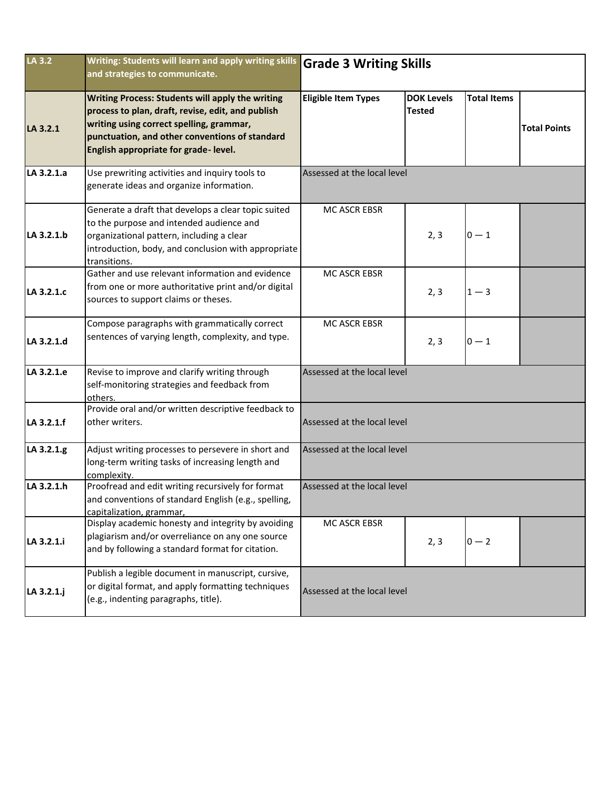| LA 3.2     | Writing: Students will learn and apply writing skills<br>and strategies to communicate.                                                                                                                                                            | <b>Grade 3 Writing Skills</b> |                                    |                    |                     |  |  |
|------------|----------------------------------------------------------------------------------------------------------------------------------------------------------------------------------------------------------------------------------------------------|-------------------------------|------------------------------------|--------------------|---------------------|--|--|
| LA 3.2.1   | <b>Writing Process: Students will apply the writing</b><br>process to plan, draft, revise, edit, and publish<br>writing using correct spelling, grammar,<br>punctuation, and other conventions of standard<br>English appropriate for grade-level. | <b>Eligible Item Types</b>    | <b>DOK Levels</b><br><b>Tested</b> | <b>Total Items</b> | <b>Total Points</b> |  |  |
| LA 3.2.1.a | Use prewriting activities and inquiry tools to<br>generate ideas and organize information.                                                                                                                                                         | Assessed at the local level   |                                    |                    |                     |  |  |
| LA 3.2.1.b | Generate a draft that develops a clear topic suited<br>to the purpose and intended audience and<br>organizational pattern, including a clear<br>introduction, body, and conclusion with appropriate<br>transitions.                                | MC ASCR EBSR                  | 2, 3                               | $0 - 1$            |                     |  |  |
| LA 3.2.1.c | Gather and use relevant information and evidence<br>from one or more authoritative print and/or digital<br>sources to support claims or theses.                                                                                                    | MC ASCR EBSR                  | 2, 3                               | $1 - 3$            |                     |  |  |
| LA 3.2.1.d | Compose paragraphs with grammatically correct<br>sentences of varying length, complexity, and type.                                                                                                                                                | MC ASCR EBSR                  | 2, 3                               | $0 - 1$            |                     |  |  |
| LA 3.2.1.e | Revise to improve and clarify writing through<br>self-monitoring strategies and feedback from<br>others.                                                                                                                                           | Assessed at the local level   |                                    |                    |                     |  |  |
| LA 3.2.1.f | Provide oral and/or written descriptive feedback to<br>other writers.                                                                                                                                                                              | Assessed at the local level   |                                    |                    |                     |  |  |
| LA 3.2.1.g | Adjust writing processes to persevere in short and<br>long-term writing tasks of increasing length and<br>complexity.                                                                                                                              | Assessed at the local level   |                                    |                    |                     |  |  |
| LA 3.2.1.h | Proofread and edit writing recursively for format<br>and conventions of standard English (e.g., spelling,<br>capitalization, grammar,                                                                                                              | Assessed at the local level   |                                    |                    |                     |  |  |
| LA 3.2.1.i | Display academic honesty and integrity by avoiding<br>plagiarism and/or overreliance on any one source<br>and by following a standard format for citation.                                                                                         | MC ASCR EBSR                  | 2, 3                               | $0 - 2$            |                     |  |  |
| LA 3.2.1.j | Publish a legible document in manuscript, cursive,<br>or digital format, and apply formatting techniques<br>(e.g., indenting paragraphs, title).                                                                                                   | Assessed at the local level   |                                    |                    |                     |  |  |